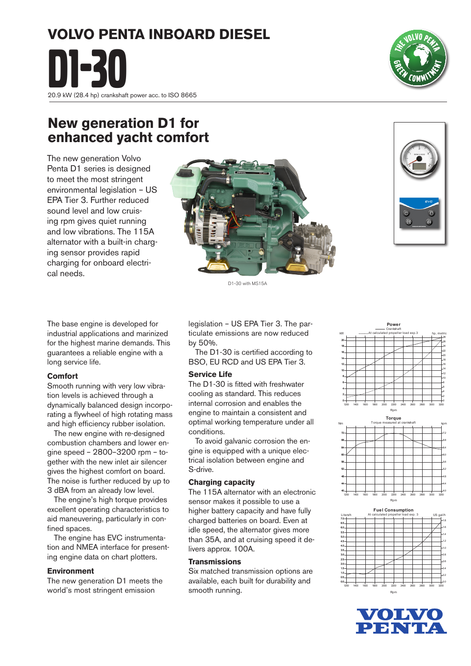# **VOLVO PENTA INBOARD DIESEL**

**D20.9 kW (28.4 hp) crankshaft power acc. to ISO 8665** 

## **New generation D1 for enhanced yacht comfort**

The new generation Volvo Penta D1 series is designed to meet the most stringent environmental legislation – US EPA Tier 3. Further reduced sound level and low cruising rpm gives quiet running and low vibrations. The 115A alternator with a built-in charging sensor provides rapid charging for onboard electrical needs.

> legislation – US EPA Tier 3. The particulate emissions are now reduced by 50%.

 The D1-30 is certified according to BSO, EU RCD and US EPA Tier 3.

#### **Service Life**

The D1-30 is fitted with freshwater cooling as standard. This reduces internal corrosion and enables the engine to maintain a consistent and optimal working temperature under all conditions.

 To avoid galvanic corrosion the engine is equipped with a unique electrical isolation between engine and S-drive.

#### **Charging capacity**

The 115A alternator with an electronic sensor makes it possible to use a higher battery capacity and have fully charged batteries on board. Even at idle speed, the alternator gives more than 35A, and at cruising speed it delivers approx. 100A.

#### **Transmissions**

Six matched transmission options are available, each built for durability and smooth running.

C 2 4 6 8 10 12 14 16 18 1200 1400 1600 1800 2000 2200 2400 2600 2600 3000 3200 ¢ ç 4 € ć -10 -12 -14 -16 -18 -20 -22  $\overline{\mathbf{z}}$ Rpm 40 44 48 52 æ ΘC 64 œ 72 Torque Torque measured at crankshaft 1200 1400 1600 1800 2000 2200 2400 2600 2600 3000 3200 4.0 4,4 48 -52 -5.6 6.0 -6,4 -6.8 -72 Nm kpm lorque measured at crankshaft kpm

Power Crankshaft At calculated propeller load exp.3

kW ............At calculated propeller load exp.3 hp, metric

-26  $\boldsymbol{\alpha}$ 

20



Rpm





D1-30 with MS15A

The base engine is developed for industrial applications and marinized for the highest marine demands. This guarantees a reliable engine with a long service life.

#### **Comfort**

Smooth running with very low vibration levels is achieved through a dynamically balanced design incorporating a flywheel of high rotating mass and high efficiency rubber isolation.

The new engine with re-designed combustion chambers and lower engine speed – 2800–3200 rpm – together with the new inlet air silencer gives the highest comfort on board. The noise is further reduced by up to 3 dBA from an already low level.

The engine's high torque provides excellent operating characteristics to aid maneuvering, particularly in confined spaces.

 The engine has EVC instrumentation and NMEA interface for presenting engine data on chart plotters.

#### **Environment**

The new generation D1 meets the world's most stringent emission